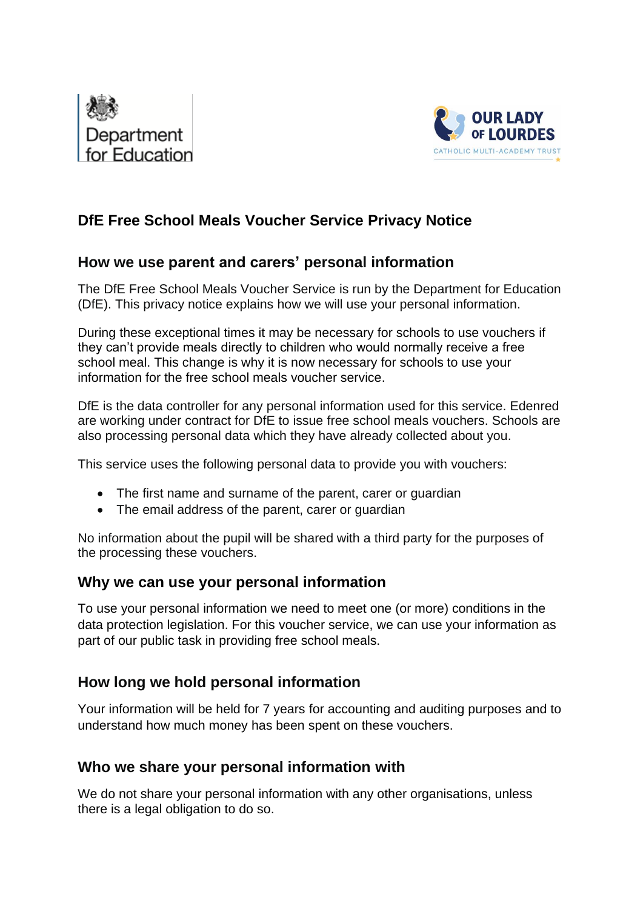



# **DfE Free School Meals Voucher Service Privacy Notice**

### **How we use parent and carers' personal information**

The DfE Free School Meals Voucher Service is run by the Department for Education (DfE). This privacy notice explains how we will use your personal information.

During these exceptional times it may be necessary for schools to use vouchers if they can't provide meals directly to children who would normally receive a free school meal. This change is why it is now necessary for schools to use your information for the free school meals voucher service.

DfE is the data controller for any personal information used for this service. Edenred are working under contract for DfE to issue free school meals vouchers. Schools are also processing personal data which they have already collected about you.

This service uses the following personal data to provide you with vouchers:

- The first name and surname of the parent, carer or quardian
- The email address of the parent, carer or guardian

No information about the pupil will be shared with a third party for the purposes of the processing these vouchers.

#### **Why we can use your personal information**

To use your personal information we need to meet one (or more) conditions in the data protection legislation. For this voucher service, we can use your information as part of our public task in providing free school meals.

#### **How long we hold personal information**

Your information will be held for 7 years for accounting and auditing purposes and to understand how much money has been spent on these vouchers.

#### **Who we share your personal information with**

We do not share your personal information with any other organisations, unless there is a legal obligation to do so.